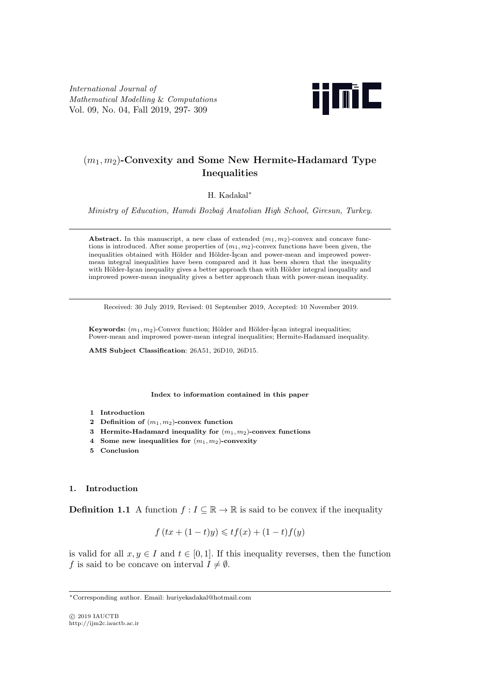*International Journal of Mathematical Modelling* & *Computations* Vol. 09, No. 04, Fall 2019, 297- 309



# (*m*1*, m*2)**-Convexity and Some New Hermite-Hadamard Type Inequalities**

H. Kadakal*∗*

*Ministry of Education, Hamdi Bozba˘g Anatolian High School, Giresun, Turkey*.

**Abstract.** In this manuscript, a new class of extended  $(m_1, m_2)$ -convex and concave functions is introduced. After some properties of (*m*1*, m*2)-convex functions have been given, the inequalities obtained with Hölder and Hölder-İşcan and power-mean and improwed powermean integral inequalities have been compared and it has been shown that the inequality with Hölder-İşcan inequality gives a better approach than with Hölder integral inequality and improwed power-mean inequality gives a better approach than with power-mean inequality.

Received: 30 July 2019, Revised: 01 September 2019, Accepted: 10 November 2019.

**Keywords:**  $(m_1, m_2)$ -Convex function; Hölder and Hölder- $\tilde{I}$ scan integral inequalities; Power-mean and improwed power-mean integral inequalities; Hermite-Hadamard inequality.

**AMS Subject Classification**: 26A51, 26D10, 26D15.

**Index to information contained in this paper**

- **1 Introduction**
- **2 Definition of** (*m*1*, m*2)**-convex function**
- **3 Hermite-Hadamard inequality for** (*m*1*, m*2)**-convex functions**
- **4 Some new inequalities for** (*m*1*, m*2)**-convexity**
- **5 Conclusion**

#### **1. Introduction**

**Definition 1.1** A function  $f: I \subseteq \mathbb{R} \to \mathbb{R}$  is said to be convex if the inequality

$$
f(tx + (1-t)y) \le tf(x) + (1-t)f(y)
$$

is valid for all  $x, y \in I$  and  $t \in [0, 1]$ . If this inequality reverses, then the function *f* is said to be concave on interval  $I \neq \emptyset$ .

*<sup>∗</sup>*Corresponding author. Email: huriyekadakal@hotmail.com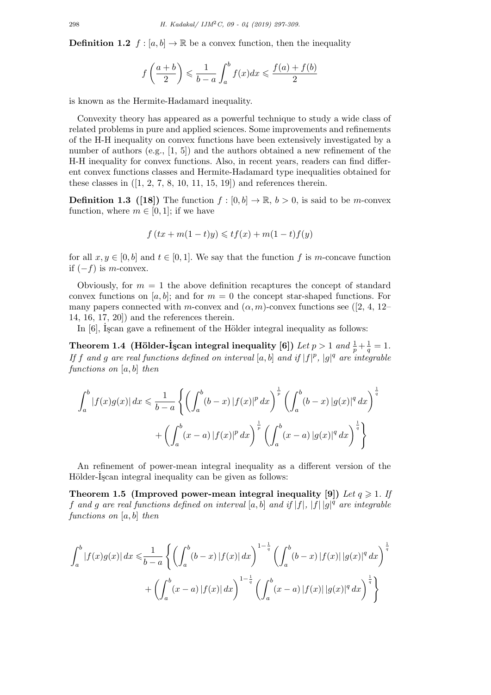**Definition 1.2**  $f : [a, b] \to \mathbb{R}$  be a convex function, then the inequality

$$
f\left(\frac{a+b}{2}\right) \leqslant \frac{1}{b-a} \int_a^b f(x)dx \leqslant \frac{f(a)+f(b)}{2}
$$

is known as the Hermite-Hadamard inequality.

Convexity theory has appeared as a powerful technique to study a wide class of related problems in pure and applied sciences. Some improvements and refinements of the H-H inequality on convex functions have been extensively investigated by a number of authors (e.g., [1, 5]) and the authors obtained a new refinement of the H-H inequality for convex functions. Also, in recent years, readers can find different convex functions classes and Hermite-Hadamard type inequalities obtained for these classes in  $([1, 2, 7, 8, 10, 11, 15, 19])$  and references therein.

**Definition 1.3** ([18]) The function  $f : [0, b] \to \mathbb{R}, b > 0$ , is said to be *m*-convex function, where  $m \in [0, 1]$ ; if we have

$$
f(tx + m(1-t)y) \leqslant tf(x) + m(1-t)f(y)
$$

for all  $x, y \in [0, b]$  and  $t \in [0, 1]$ . We say that the function f is m-concave function if (*−f*) is *m*-convex.

Obviously, for  $m = 1$  the above definition recaptures the concept of standard convex functions on  $[a, b]$ ; and for  $m = 0$  the concept star-shaped functions. For many papers connected with *m*-convex and  $(\alpha, m)$ -convex functions see ([2, 4, 12– 14, 16, 17, 20]) and the references therein.

In  $[6]$ , Iscan gave a refinement of the Hölder integral inequality as follows:

**Theorem 1.4** (Hölder-İşcan integral inequality [6]) Let  $p > 1$  and  $\frac{1}{p} + \frac{1}{q}$  $\frac{1}{q} = 1.$ *If f* and *g* are real functions defined on interval [a, b] and if  $|f|^p$ ,  $|g|^q$  are integrable *functions on* [*a, b*] *then*

$$
\int_{a}^{b} |f(x)g(x)| dx \le \frac{1}{b-a} \left\{ \left( \int_{a}^{b} (b-x) |f(x)|^{p} dx \right)^{\frac{1}{p}} \left( \int_{a}^{b} (b-x) |g(x)|^{q} dx \right)^{\frac{1}{q}}
$$

$$
+ \left( \int_{a}^{b} (x-a) |f(x)|^{p} dx \right)^{\frac{1}{p}} \left( \int_{a}^{b} (x-a) |g(x)|^{q} dx \right)^{\frac{1}{q}}
$$

An refinement of power-mean integral inequality as a different version of the Hölder-Iscan integral inequality can be given as follows:

**Theorem 1.5 (Improved power-mean integral inequality [9])** Let  $q \ge 1$ . If *f* and *g* are real functions defined on interval  $[a, b]$  and if  $|f|$ ,  $|f||g|^{q'}$  are integrable *functions on* [*a, b*] *then*

$$
\int_{a}^{b} |f(x)g(x)| dx \leq \frac{1}{b-a} \left\{ \left( \int_{a}^{b} (b-x) |f(x)| dx \right)^{1-\frac{1}{q}} \left( \int_{a}^{b} (b-x) |f(x)| |g(x)|^{q} dx \right)^{\frac{1}{q}}
$$

$$
+ \left( \int_{a}^{b} (x-a) |f(x)| dx \right)^{1-\frac{1}{q}} \left( \int_{a}^{b} (x-a) |f(x)| |g(x)|^{q} dx \right)^{\frac{1}{q}} \right\}
$$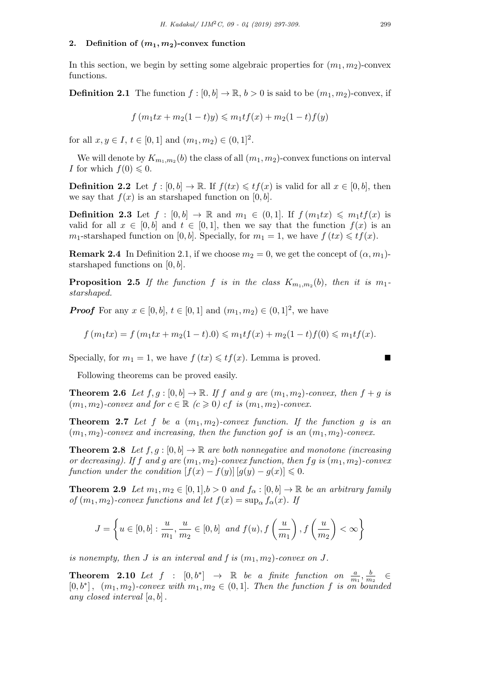## 2. Definition of  $(m_1, m_2)$ -convex function

In this section, we begin by setting some algebraic properties for  $(m_1, m_2)$ -convex functions.

**Definition 2.1** The function  $f : [0, b] \to \mathbb{R}, b > 0$  is said to be  $(m_1, m_2)$ -convex, if

$$
f(m_1tx + m_2(1-t)y) \le m_1tf(x) + m_2(1-t)f(y)
$$

for all  $x, y \in I$ ,  $t \in [0, 1]$  and  $(m_1, m_2) \in (0, 1]^2$ .

We will denote by  $K_{m_1,m_2}(b)$  the class of all  $(m_1, m_2)$ -convex functions on interval *I* for which  $f(0) \leq 0$ .

**Definition 2.2** Let  $f : [0, b] \to \mathbb{R}$ . If  $f(tx) \leqslant tf(x)$  is valid for all  $x \in [0, b]$ , then we say that  $f(x)$  is an starshaped function on  $[0, b]$ .

**Definition 2.3** Let  $f : [0, b] \rightarrow \mathbb{R}$  and  $m_1 \in (0, 1]$ . If  $f(m_1tx) \leq m_1tf(x)$  is valid for all  $x \in [0, b]$  and  $t \in [0, 1]$ , then we say that the function  $f(x)$  is an *m*<sub>1</sub>-starshaped function on [0, *b*]. Specially, for  $m_1 = 1$ , we have  $f(tx) \leqslant tf(x)$ .

**Remark 2.4** In Definition 2.1, if we choose  $m_2 = 0$ , we get the concept of  $(\alpha, m_1)$ starshaped functions on [0*, b*].

**Proposition 2.5** If the function f is in the class  $K_{m_1,m_2}(b)$ , then it is  $m_1$ . *starshaped.*

*Proof* For any  $x \in [0, b]$ ,  $t \in [0, 1]$  and  $(m_1, m_2) \in (0, 1]^2$ , we have

$$
f(m_1tx) = f(m_1tx + m_2(1-t).0) \le m_1tf(x) + m_2(1-t)f(0) \le m_1tf(x).
$$

Specially, for  $m_1 = 1$ , we have  $f(tx) \leqslant tf(x)$ . Lemma is proved.

Following theorems can be proved easily.

**Theorem 2.6** *Let*  $f, g : [0, b] \to \mathbb{R}$ *. If*  $f$  *and*  $g$  *are*  $(m_1, m_2)$ *-convex, then*  $f + g$  *is*  $(m_1, m_2)$ *-convex and for*  $c \in \mathbb{R}$   $(c \geq 0)$  *cf is*  $(m_1, m_2)$ *-convex.* 

**Theorem 2.7** Let f be a  $(m_1, m_2)$ -convex function. If the function g is an  $(m_1, m_2)$ -convex and increasing, then the function gof is an  $(m_1, m_2)$ -convex.

**Theorem 2.8** *Let*  $f, g : [0, b] \to \mathbb{R}$  *are both nonnegative and monotone (increasing or decreasing). If*  $f$  *and*  $g$  *are*  $(m_1, m_2)$ *-convex function, then*  $fg$  *is*  $(m_1, m_2)$ *-convex function under the condition*  $[f(x) - f(y)] [g(y) - g(x)] \leq 0$ .

**Theorem 2.9** *Let*  $m_1, m_2 \in [0, 1], b > 0$  *and*  $f_\alpha : [0, b] \to \mathbb{R}$  *be an arbitrary family of*  $(m_1, m_2)$ *-convex functions and let*  $f(x) = \sup_{\alpha} f_{\alpha}(x)$ *. If* 

$$
J = \left\{ u \in [0, b] : \frac{u}{m_1}, \frac{u}{m_2} \in [0, b] \text{ and } f(u), f\left(\frac{u}{m_1}\right), f\left(\frac{u}{m_2}\right) < \infty \right\}
$$

*is nonempty, then*  $J$  *is an interval and*  $f$  *is*  $(m_1, m_2)$ *-convex on*  $J$ *.* 

**Theorem 2.10** *Let*  $f : [0,b^*] \rightarrow \mathbb{R}$  *be a finite function on*  $\frac{a}{m_1}, \frac{b}{m_2}$  $\overline{m_2}$ *∈*  $[0, b^*]$ ,  $(m_1, m_2)$ -convex with  $m_1, m_2 \in (0, 1]$ . Then the function f is on bounded *any closed interval* [*a, b*] *.*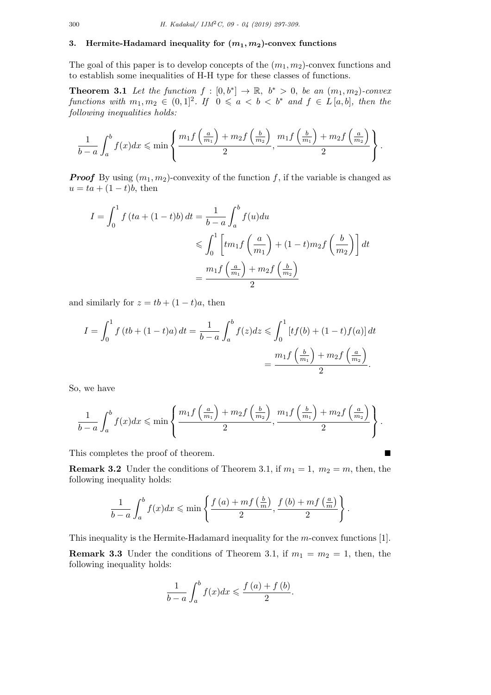## **3.** Hermite-Hadamard inequality for  $(m_1, m_2)$ -convex functions

The goal of this paper is to develop concepts of the (*m*1*, m*2)-convex functions and to establish some inequalities of H-H type for these classes of functions.

**Theorem 3.1** Let the function  $f : [0, b^*] \to \mathbb{R}$ ,  $b^* > 0$ , be an  $(m_1, m_2)$ -convex *functions with*  $m_1, m_2 \in (0, 1]^2$ . If  $0 \leq a < b < b^*$  and  $f \in L[a, b]$ , then the *following inequalities holds:*

$$
\frac{1}{b-a}\int_a^b f(x)dx \leqslant \min\left\{\frac{m_1f\left(\frac{a}{m_1}\right)+m_2f\left(\frac{b}{m_2}\right)}{2},\frac{m_1f\left(\frac{b}{m_1}\right)+m_2f\left(\frac{a}{m_2}\right)}{2}\right\}.
$$

*Proof* By using  $(m_1, m_2)$ -convexity of the function f, if the variable is changed as  $u = ta + (1-t)b$ , then

$$
I = \int_0^1 f(ta + (1-t)b) dt = \frac{1}{b-a} \int_a^b f(u) du
$$
  
\$\leqslant \int\_0^1 \left[tm\_1f\left(\frac{a}{m\_1}\right) + (1-t)m\_2f\left(\frac{b}{m\_2}\right)\right] dt\$  

$$
= \frac{m_1f\left(\frac{a}{m_1}\right) + m_2f\left(\frac{b}{m_2}\right)}{2}
$$

and similarly for  $z = tb + (1 - t)a$ , then

$$
I = \int_0^1 f(tb + (1-t)a) dt = \frac{1}{b-a} \int_a^b f(z) dz \le \int_0^1 [tf(b) + (1-t)f(a)] dt
$$
  
= 
$$
\frac{m_1 f\left(\frac{b}{m_1}\right) + m_2 f\left(\frac{a}{m_2}\right)}{2}.
$$

So, we have

$$
\frac{1}{b-a}\int_a^b f(x)dx \leqslant \min\left\{\frac{m_1f\left(\frac{a}{m_1}\right)+m_2f\left(\frac{b}{m_2}\right)}{2},\frac{m_1f\left(\frac{b}{m_1}\right)+m_2f\left(\frac{a}{m_2}\right)}{2}\right\}.
$$

This completes the proof of theorem. ■

**Remark 3.2** Under the conditions of Theorem 3.1, if  $m_1 = 1$ ,  $m_2 = m$ , then, then following inequality holds:

$$
\frac{1}{b-a}\int_{a}^{b}f(x)dx \leqslant \min\left\{\frac{f(a)+mf\left(\frac{b}{m}\right)}{2},\frac{f(b)+mf\left(\frac{a}{m}\right)}{2}\right\}.
$$

This inequality is the Hermite-Hadamard inequality for the *m*-convex functions [1].

**Remark 3.3** Under the conditions of Theorem 3.1, if  $m_1 = m_2 = 1$ , then, the following inequality holds:

$$
\frac{1}{b-a}\int_{a}^{b}f(x)dx \leqslant \frac{f(a)+f(b)}{2}.
$$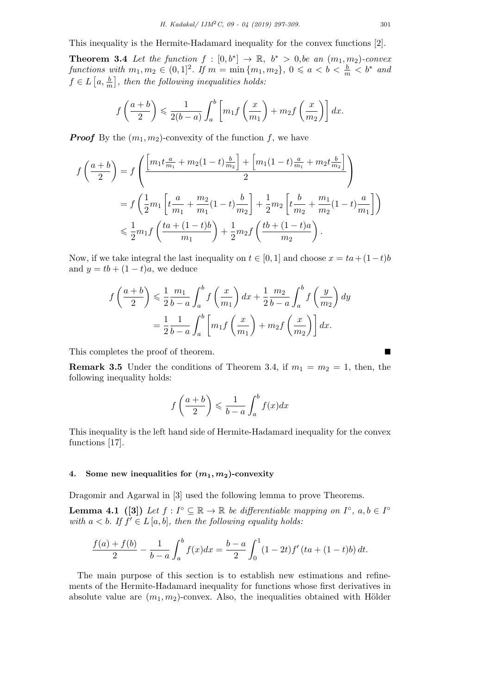This inequality is the Hermite-Hadamard inequality for the convex functions [2].

**Theorem 3.4** Let the function  $f : [0, b^*] \rightarrow \mathbb{R}, b^* > 0$ , be an  $(m_1, m_2)$ -convex *functions with*  $m_1, m_2 \in (0, 1]^2$ . If  $m = \min\{m_1, m_2\}$ ,  $0 \leq a < b < \frac{b}{m} < b^*$  and  $f \in L\left[a, \frac{b}{m}\right]$ , then the following inequalities holds:

$$
f\left(\frac{a+b}{2}\right) \leqslant \frac{1}{2(b-a)} \int_a^b \left[m_1 f\left(\frac{x}{m_1}\right) + m_2 f\left(\frac{x}{m_2}\right)\right] dx.
$$

*Proof* By the  $(m_1, m_2)$ -convexity of the function  $f$ , we have

$$
f\left(\frac{a+b}{2}\right) = f\left(\frac{\left[m_1t\frac{a}{m_1} + m_2(1-t)\frac{b}{m_2}\right] + \left[m_1(1-t)\frac{a}{m_1} + m_2t\frac{b}{m_2}\right]}{2}\right)
$$
  

$$
= f\left(\frac{1}{2}m_1\left[t\frac{a}{m_1} + \frac{m_2}{m_1}(1-t)\frac{b}{m_2}\right] + \frac{1}{2}m_2\left[t\frac{b}{m_2} + \frac{m_1}{m_2}(1-t)\frac{a}{m_1}\right]\right)
$$
  

$$
\leq \frac{1}{2}m_1f\left(\frac{ta + (1-t)b}{m_1}\right) + \frac{1}{2}m_2f\left(\frac{tb + (1-t)a}{m_2}\right).
$$

Now, if we take integral the last inequality on  $t \in [0,1]$  and choose  $x = ta + (1-t)b$ and  $y = tb + (1 - t)a$ , we deduce

$$
f\left(\frac{a+b}{2}\right) \leq \frac{1}{2}\frac{m_1}{b-a} \int_a^b f\left(\frac{x}{m_1}\right) dx + \frac{1}{2}\frac{m_2}{b-a} \int_a^b f\left(\frac{y}{m_2}\right) dy
$$
  
=  $\frac{1}{2}\frac{1}{b-a} \int_a^b \left[m_1 f\left(\frac{x}{m_1}\right) + m_2 f\left(\frac{x}{m_2}\right)\right] dx.$ 

This completes the proof of theorem.

**Remark 3.5** Under the conditions of Theorem 3.4, if  $m_1 = m_2 = 1$ , then, the following inequality holds:

$$
f\left(\frac{a+b}{2}\right) \leqslant \frac{1}{b-a} \int_{a}^{b} f(x)dx
$$

This inequality is the left hand side of Hermite-Hadamard inequality for the convex functions [17].

## **4.** Some new inequalities for  $(m_1, m_2)$ -convexity

Dragomir and Agarwal in [3] used the following lemma to prove Theorems.

**Lemma 4.1** ([3]) Let  $f: I^{\circ} \subseteq \mathbb{R} \to \mathbb{R}$  be differentiable mapping on  $I^{\circ}$ ,  $a, b \in I^{\circ}$ *with*  $a < b$ *. If*  $f' \in L[a, b]$ *, then the following equality holds:* 

$$
\frac{f(a) + f(b)}{2} - \frac{1}{b-a} \int_a^b f(x)dx = \frac{b-a}{2} \int_0^1 (1 - 2t) f'(ta + (1 - t)b) dt.
$$

The main purpose of this section is to establish new estimations and refinements of the Hermite-Hadamard inequality for functions whose first derivatives in absolute value are  $(m_1, m_2)$ -convex. Also, the inequalities obtained with Hölder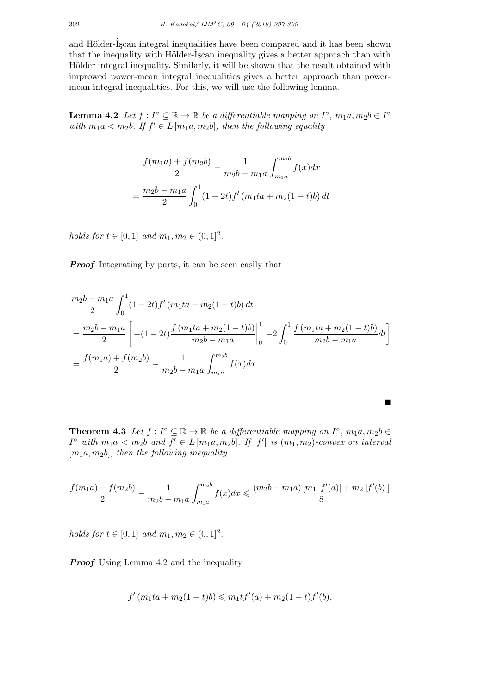and Hölder-Iscan integral inequalities have been compared and it has been shown that the inequality with Hölder-Iscan inequality gives a better approach than with Hölder integral inequality. Similarly, it will be shown that the result obtained with improwed power-mean integral inequalities gives a better approach than powermean integral inequalities. For this, we will use the following lemma.

**Lemma 4.2** *Let*  $f: I^\circ \subseteq \mathbb{R} \to \mathbb{R}$  *be a differentiable mapping on*  $I^\circ$ ,  $m_1a, m_2b \in I^\circ$ *with*  $m_1a < m_2b$ *. If*  $f' \in L[m_1a, m_2b]$ *, then the following equality* 

$$
\frac{f(m_1a) + f(m_2b)}{2} - \frac{1}{m_2b - m_1a} \int_{m_1a}^{m_2b} f(x)dx
$$

$$
= \frac{m_2b - m_1a}{2} \int_0^1 (1 - 2t) f'(m_1ta + m_2(1 - t)b) dt
$$

*holds for*  $t \in [0, 1]$  *and*  $m_1, m_2 \in (0, 1]^2$ .

*Proof* Integrating by parts, it can be seen easily that

$$
\frac{m_2b - m_1a}{2} \int_0^1 (1 - 2t) f'(m_1ta + m_2(1 - t)b) dt
$$
  
= 
$$
\frac{m_2b - m_1a}{2} \left[ -(1 - 2t) \frac{f(m_1ta + m_2(1 - t)b)}{m_2b - m_1a} \Big|_0^1 - 2 \int_0^1 \frac{f(m_1ta + m_2(1 - t)b)}{m_2b - m_1a} dt \right]
$$
  
= 
$$
\frac{f(m_1a) + f(m_2b)}{2} - \frac{1}{m_2b - m_1a} \int_{m_1a}^{m_2b} f(x) dx.
$$

**Theorem 4.3** *Let*  $f: I^{\circ} \subseteq \mathbb{R} \to \mathbb{R}$  *be a differentiable mapping on*  $I^{\circ}$ ,  $m_1a, m_2b \in$  $I^{\circ}$  with  $m_1 a < m_2 b$  and  $f' \in L[m_1 a, m_2 b]$ . If  $|f'|$  is  $(m_1, m_2)$ -convex on interval [*m*1*a, m*2*b*]*, then the following inequality*

■

$$
\frac{f(m_1a)+f(m_2b)}{2}-\frac{1}{m_2b-m_1a}\int_{m_1a}^{m_2b}f(x)dx\leqslant \frac{(m_2b-m_1a)\left[m_1\left|f'(a)\right|+m_2\left|f'(b)\right|\right]}{8}
$$

*holds for*  $t \in [0, 1]$  *and*  $m_1, m_2 \in (0, 1]^2$ .

*Proof* Using Lemma 4.2 and the inequality

$$
f'(m_1ta + m_2(1-t)b) \leq m_1tf'(a) + m_2(1-t)f'(b),
$$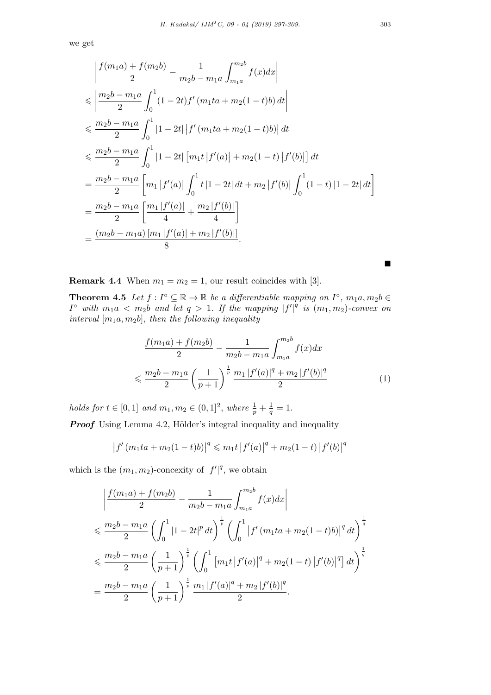we get

$$
\left| \frac{f(m_1a) + f(m_2b)}{2} - \frac{1}{m_2b - m_1a} \int_{m_1a}^{m_2b} f(x)dx \right|
$$
  
\n
$$
\leq \left| \frac{m_2b - m_1a}{2} \int_0^1 (1 - 2t)f'(m_1ta + m_2(1 - t)b) dt \right|
$$
  
\n
$$
\leq \frac{m_2b - m_1a}{2} \int_0^1 |1 - 2t| |f'(m_1ta + m_2(1 - t)b)| dt
$$
  
\n
$$
\leq \frac{m_2b - m_1a}{2} \int_0^1 |1 - 2t| [m_1t|f'(a)| + m_2(1 - t)|f'(b)| dt
$$
  
\n
$$
= \frac{m_2b - m_1a}{2} [m_1|f'(a)| \int_0^1 t|1 - 2t| dt + m_2|f'(b)| \int_0^1 (1 - t)|1 - 2t| dt]
$$
  
\n
$$
= \frac{m_2b - m_1a}{2} [\frac{m_1|f'(a)|}{4} + \frac{m_2|f'(b)|}{4}]
$$
  
\n
$$
= \frac{(m_2b - m_1a) [m_1|f'(a)| + m_2|f'(b)|]}{8}.
$$

**Remark 4.4** When  $m_1 = m_2 = 1$ , our result coincides with [3].

**Theorem 4.5** *Let*  $f: I^{\circ} \subseteq \mathbb{R} \to \mathbb{R}$  *be a differentiable mapping on*  $I^{\circ}$ ,  $m_1a, m_2b \in$ *I*<sup>°</sup> *with*  $m_1a < m_2b$  *and let*  $q > 1$ *. If the mapping*  $|f'|^q$  *is*  $(m_1, m_2)$ *-convex on interval* [*m*1*a, m*2*b*]*, then the following inequality*

$$
\frac{f(m_1a) + f(m_2b)}{2} - \frac{1}{m_2b - m_1a} \int_{m_1a}^{m_2b} f(x)dx
$$

$$
\leq \frac{m_2b - m_1a}{2} \left(\frac{1}{p+1}\right)^{\frac{1}{p}} \frac{m_1 |f'(a)|^q + m_2 |f'(b)|^q}{2} \tag{1}
$$

*holds for*  $t \in [0, 1]$  *and*  $m_1, m_2 \in (0, 1]^2$ , *where*  $\frac{1}{p} + \frac{1}{q}$  $\frac{1}{q} = 1.$ 

**Proof** Using Lemma 4.2, Hölder's integral inequality and inequality

$$
|f'(m_1ta + m_2(1-t)b)|^q \leq m_1t |f'(a)|^q + m_2(1-t) |f'(b)|^q
$$

which is the  $(m_1, m_2)$ -concexity of  $|f'|^q$ , we obtain

$$
\left| \frac{f(m_1a) + f(m_2b)}{2} - \frac{1}{m_2b - m_1a} \int_{m_1a}^{m_2b} f(x)dx \right|
$$
  
\n
$$
\leq \frac{m_2b - m_1a}{2} \left( \int_0^1 |1 - 2t|^p dt \right)^{\frac{1}{p}} \left( \int_0^1 |f'(m_1ta + m_2(1-t)b)|^q dt \right)^{\frac{1}{q}}
$$
  
\n
$$
\leq \frac{m_2b - m_1a}{2} \left( \frac{1}{p+1} \right)^{\frac{1}{p}} \left( \int_0^1 [m_1t |f'(a)|^q + m_2(1-t) |f'(b)|^q] dt \right)^{\frac{1}{q}}
$$
  
\n
$$
= \frac{m_2b - m_1a}{2} \left( \frac{1}{p+1} \right)^{\frac{1}{p}} \frac{m_1 |f'(a)|^q + m_2 |f'(b)|^q}{2}.
$$

■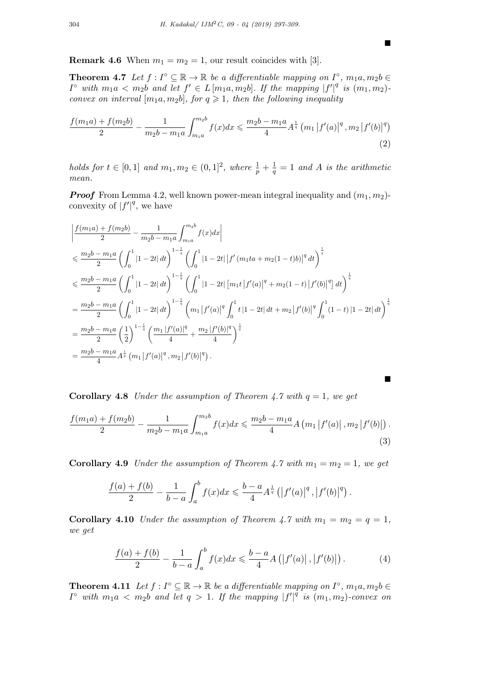■

■

**Remark 4.6** When  $m_1 = m_2 = 1$ , our result coincides with [3].

**Theorem 4.7** *Let*  $f: I^{\circ} \subseteq \mathbb{R} \to \mathbb{R}$  *be a differentiable mapping on*  $I^{\circ}$ ,  $m_1a, m_2b \in$  $I^{\circ}$  with  $m_1 a \langle m_2 b \rangle$  and let  $f' \in L[m_1 a, m_2 b]$ . If the mapping  $|f'|^q$  is  $(m_1, m_2)$ . *convex on interval*  $[m_1a, m_2b]$ *, for*  $q \ge 1$ *, then the following inequality* 

$$
\frac{f(m_1a) + f(m_2b)}{2} - \frac{1}{m_2b - m_1a} \int_{m_1a}^{m_2b} f(x)dx \leq \frac{m_2b - m_1a}{4} A^{\frac{1}{q}} (m_1 |f'(a)|^q, m_2 |f'(b)|^q)
$$
\n(2)

*holds for*  $t \in [0,1]$  *and*  $m_1, m_2 \in (0,1]^2$ , *where*  $\frac{1}{p} + \frac{1}{q}$  $\frac{1}{q} = 1$  *and A is the arithmetic mean.*

*Proof* From Lemma 4.2, well known power-mean integral inequality and  $(m_1, m_2)$ convexity of  $|f'|^q$ , we have

$$
\begin{split}\n&\left|\frac{f(m_1a)+f(m_2b)}{2}-\frac{1}{m_2b-m_1a}\int_{m_1a}^{m_2b}f(x)dx\right| \\
&\leq \frac{m_2b-m_1a}{2}\left(\int_0^1|1-2t|\,dt\right)^{1-\frac{1}{q}}\left(\int_0^1|1-2t|\,|f'(m_1ta+m_2(1-t)b)|^q\,dt\right)^{\frac{1}{q}} \\
&\leq \frac{m_2b-m_1a}{2}\left(\int_0^1|1-2t|\,dt\right)^{1-\frac{1}{q}}\left(\int_0^1|1-2t|\,[m_1t\,|f'(a)|^q+m_2(1-t)\,|f'(b)|^q\right)dt\right)^{\frac{1}{q}} \\
&=\frac{m_2b-m_1a}{2}\left(\int_0^1|1-2t|\,dt\right)^{1-\frac{1}{q}}\left(m_1\,|f'(a)|^q\int_0^1t\,|1-2t|\,dt+m_2\,|f'(b)|^q\int_0^1(1-t)\,|1-2t|\,dt\right)^{\frac{1}{q}} \\
&=\frac{m_2b-m_1a}{2}\left(\frac{1}{2}\right)^{1-\frac{1}{q}}\left(\frac{m_1\,|f'(a)|^q}{4}+\frac{m_2\,|f'(b)|^q}{4}\right)^{\frac{1}{q}} \\
&=\frac{m_2b-m_1a}{4}A^{\frac{1}{q}}\left(m_1\,|f'(a)|^q,m_2\,|f'(b)|^q\right).\n\end{split}
$$

**Corollary 4.8** *Under the assumption of Theorem 4.7 with*  $q = 1$ *, we get* 

$$
\frac{f(m_1a) + f(m_2b)}{2} - \frac{1}{m_2b - m_1a} \int_{m_1a}^{m_2b} f(x)dx \leq \frac{m_2b - m_1a}{4} A(m_1 |f'(a)|, m_2 |f'(b)|).
$$
\n(3)

**Corollary 4.9** *Under the assumption of Theorem 4.7 with*  $m_1 = m_2 = 1$ *, we get* 

$$
\frac{f(a) + f(b)}{2} - \frac{1}{b-a} \int_a^b f(x) dx \leq \frac{b-a}{4} A^{\frac{1}{q}} (|f'(a)|^q, |f'(b)|^q).
$$

**Corollary 4.10** *Under the assumption of Theorem 4.7 with*  $m_1 = m_2 = q = 1$ , *we get*

$$
\frac{f(a) + f(b)}{2} - \frac{1}{b - a} \int_{a}^{b} f(x) dx \leq \frac{b - a}{4} A(|f'(a)|, |f'(b)|).
$$
 (4)

**Theorem 4.11** *Let*  $f: I^{\circ} \subseteq \mathbb{R} \to \mathbb{R}$  *be a differentiable mapping on*  $I^{\circ}$ *, m*<sub>1</sub>*a,m*<sub>2</sub>*b*  $\in$ *I*<sup>°</sup> *with*  $m_1 a < m_2 b$  *and let*  $q > 1$ *. If the mapping*  $|f'|^{\hat{q}}$  *is*  $(m_1, m_2)$ *-convex on*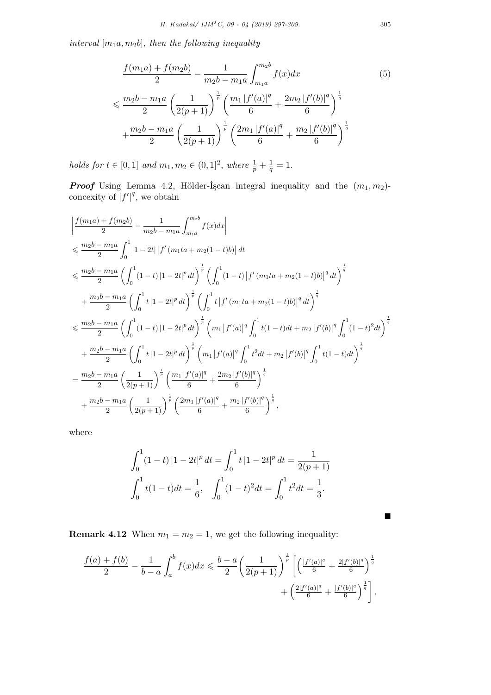*interval* [*m*1*a, m*2*b*]*, then the following inequality*

$$
\frac{f(m_1a) + f(m_2b)}{2} - \frac{1}{m_2b - m_1a} \int_{m_1a}^{m_2b} f(x)dx
$$
\n
$$
\leq \frac{m_2b - m_1a}{2} \left(\frac{1}{2(p+1)}\right)^{\frac{1}{p}} \left(\frac{m_1 |f'(a)|^q}{6} + \frac{2m_2 |f'(b)|^q}{6}\right)^{\frac{1}{q}}
$$
\n
$$
+ \frac{m_2b - m_1a}{2} \left(\frac{1}{2(p+1)}\right)^{\frac{1}{p}} \left(\frac{2m_1 |f'(a)|^q}{6} + \frac{m_2 |f'(b)|^q}{6}\right)^{\frac{1}{q}}
$$
\n(5)

*holds for*  $t \in [0, 1]$  *and*  $m_1, m_2 \in (0, 1]^2$ , *where*  $\frac{1}{p} + \frac{1}{q}$  $\frac{1}{q} = 1.$ 

*Proof* Using Lemma 4.2, Hölder- $\dot{I}$ scan integral inequality and the  $(m_1, m_2)$ concexity of  $|f'|^q$ , we obtain

$$
\begin{split}\n&\left|\frac{f(m_{1}a)+f(m_{2}b)}{2}-\frac{1}{m_{2}b-m_{1}a}\int_{m_{1}a}^{m_{2}b}f(x)dx\right| \\
&\leq \frac{m_{2}b-m_{1}a}{2}\int_{0}^{1}\left|1-2t\right|\left|f^{\prime}\left(m_{1}ta+m_{2}(1-t)b\right)\right|dt \\
&\leq \frac{m_{2}b-m_{1}a}{2}\left(\int_{0}^{1}(1-t)\left|1-2t\right|^{p}dt\right)^{\frac{1}{p}}\left(\int_{0}^{1}(1-t)\left|f^{\prime}\left(m_{1}ta+m_{2}(1-t)b\right)\right|^{q}dt\right)^{\frac{1}{q}} \\
&+\frac{m_{2}b-m_{1}a}{2}\left(\int_{0}^{1}t\left|1-2t\right|^{p}dt\right)^{\frac{1}{p}}\left(\int_{0}^{1}t\left|f^{\prime}\left(m_{1}ta+m_{2}(1-t)b\right)\right|^{q}dt\right)^{\frac{1}{q}} \\
&\leq \frac{m_{2}b-m_{1}a}{2}\left(\int_{0}^{1}(1-t)\left|1-2t\right|^{p}dt\right)^{\frac{1}{p}}\left(m_{1}\left|f^{\prime}(a)\right|^{q}\int_{0}^{1}t(1-t)dt+m_{2}\left|f^{\prime}(b)\right|^{q}\int_{0}^{1}(1-t)^{2}dt\right)^{\frac{1}{q}} \\
&+\frac{m_{2}b-m_{1}a}{2}\left(\int_{0}^{1}t\left|1-2t\right|^{p}dt\right)^{\frac{1}{p}}\left(m_{1}\left|f^{\prime}(a)\right|^{q}\int_{0}^{1}t^{2}dt+m_{2}\left|f^{\prime}(b)\right|^{q}\int_{0}^{1}t(1-t)dt\right)^{\frac{1}{q}} \\
&=\frac{m_{2}b-m_{1}a}{2}\left(\frac{1}{2(p+1)}\right)^{\frac{1}{p}}\left(\frac{m_{1}\left|f^{\prime}(a)\right|^{q}}{6}+\frac{2m_{2}\left|f^{\prime}(b)\right|^{q}}{6}\right)^{\frac{1}{q}} \\
&+\frac{m_{2}b-m_{1}a}{2}\left(\frac{1}{2(p+1)}\right)^{\frac{1}{p}}\left(\frac{2m_{1}\left|f^{\prime}(a)\right|^{q}}{
$$

where

$$
\int_0^1 (1-t) \, |1-2t|^p \, dt = \int_0^1 t \, |1-2t|^p \, dt = \frac{1}{2(p+1)}
$$
\n
$$
\int_0^1 t(1-t) \, dt = \frac{1}{6}, \quad \int_0^1 (1-t)^2 \, dt = \int_0^1 t^2 \, dt = \frac{1}{3}.
$$

**Remark 4.12** When  $m_1 = m_2 = 1$ , we get the following inequality:

$$
\frac{f(a) + f(b)}{2} - \frac{1}{b-a} \int_a^b f(x) dx \leq \frac{b-a}{2} \left( \frac{1}{2(p+1)} \right)^{\frac{1}{p}} \left[ \left( \frac{|f'(a)|^q}{6} + \frac{2|f'(b)|^q}{6} \right)^{\frac{1}{q}} + \left( \frac{2|f'(a)|^q}{6} + \frac{|f'(b)|^q}{6} \right)^{\frac{1}{q}} \right].
$$

■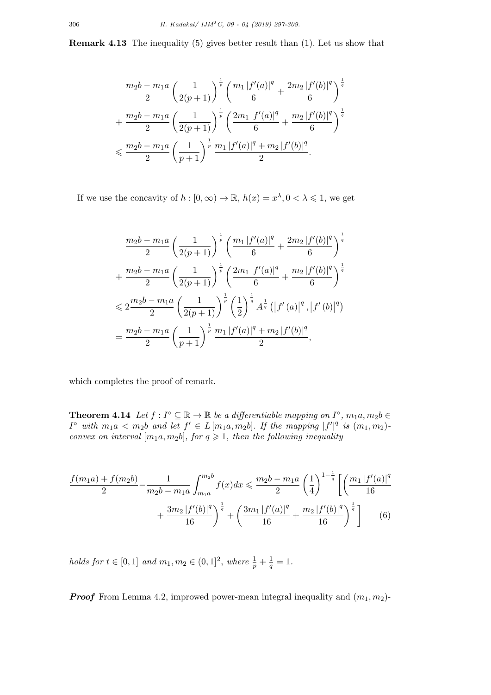**Remark 4.13** The inequality (5) gives better result than (1). Let us show that

$$
\frac{m_2b - m_1a}{2} \left(\frac{1}{2(p+1)}\right)^{\frac{1}{p}} \left(\frac{m_1 |f'(a)|^q}{6} + \frac{2m_2 |f'(b)|^q}{6}\right)^{\frac{1}{q}}
$$
  
+ 
$$
\frac{m_2b - m_1a}{2} \left(\frac{1}{2(p+1)}\right)^{\frac{1}{p}} \left(\frac{2m_1 |f'(a)|^q}{6} + \frac{m_2 |f'(b)|^q}{6}\right)^{\frac{1}{q}}
$$
  

$$
\leq \frac{m_2b - m_1a}{2} \left(\frac{1}{p+1}\right)^{\frac{1}{p}} \frac{m_1 |f'(a)|^q + m_2 |f'(b)|^q}{2}.
$$

If we use the concavity of  $h : [0, \infty) \to \mathbb{R}$ ,  $h(x) = x^{\lambda}, 0 < \lambda \leq 1$ , we get

$$
\frac{m_2b - m_1a}{2} \left(\frac{1}{2(p+1)}\right)^{\frac{1}{p}} \left(\frac{m_1 |f'(a)|^q}{6} + \frac{2m_2 |f'(b)|^q}{6}\right)^{\frac{1}{q}}
$$
  
+ 
$$
\frac{m_2b - m_1a}{2} \left(\frac{1}{2(p+1)}\right)^{\frac{1}{p}} \left(\frac{2m_1 |f'(a)|^q}{6} + \frac{m_2 |f'(b)|^q}{6}\right)^{\frac{1}{q}}
$$
  

$$
\leq 2\frac{m_2b - m_1a}{2} \left(\frac{1}{2(p+1)}\right)^{\frac{1}{p}} \left(\frac{1}{2}\right)^{\frac{1}{q}} A^{\frac{1}{q}} (|f'(a)|^q, |f'(b)|^q)
$$
  
= 
$$
\frac{m_2b - m_1a}{2} \left(\frac{1}{p+1}\right)^{\frac{1}{p}} \frac{m_1 |f'(a)|^q + m_2 |f'(b)|^q}{2},
$$

which completes the proof of remark.

**Theorem 4.14** *Let*  $f: I^\circ \subseteq \mathbb{R} \to \mathbb{R}$  *be a differentiable mapping on*  $I^\circ$ ,  $m_1a, m_2b \in$  $I^{\circ}$  with  $m_1 a < m_2 b$  and let  $f' \in L[m_1 a, m_2 b]$ . If the mapping  $|f'|^q$  is  $(m_1, m_2)$ . *convex on interval*  $[m_1a, m_2b]$ *, for*  $q \geq 1$ *, then the following inequality* 

$$
\frac{f(m_1a) + f(m_2b)}{2} - \frac{1}{m_2b - m_1a} \int_{m_1a}^{m_2b} f(x)dx \le \frac{m_2b - m_1a}{2} \left(\frac{1}{4}\right)^{1 - \frac{1}{q}} \left[ \left(\frac{m_1 |f'(a)|^q}{16} + \frac{3m_2 |f'(b)|^q}{16}\right)^{\frac{1}{q}} + \left(\frac{3m_1 |f'(a)|^q}{16} + \frac{m_2 |f'(b)|^q}{16}\right)^{\frac{1}{q}} \right] \tag{6}
$$

*holds for*  $t \in [0, 1]$  *and*  $m_1, m_2 \in (0, 1]^2$ , *where*  $\frac{1}{p} + \frac{1}{q}$  $\frac{1}{q} = 1.$ 

*Proof* From Lemma 4.2, improwed power-mean integral inequality and  $(m_1, m_2)$ -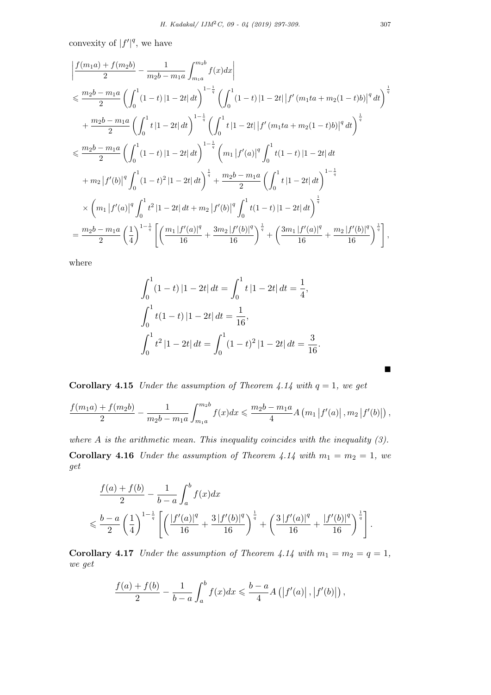convexity of  $|f'|^q$ , we have

$$
\begin{split}\n&\left|\frac{f(m_{1}a)+f(m_{2}b)}{2}-\frac{1}{m_{2}b-m_{1}a}\int_{m_{1}a}^{m_{2}b}f(x)dx\right| \\
&\leqslant \frac{m_{2}b-m_{1}a}{2}\left(\int_{0}^{1}(1-t)\left|1-2t\right|dt\right)^{1-\frac{1}{q}}\left(\int_{0}^{1}(1-t)\left|1-2t\right|\left|f^{\prime}\left(m_{1}ta+m_{2}(1-t)b\right|\right|^{q}dt\right)^{\frac{1}{q}} \\
&+\frac{m_{2}b-m_{1}a}{2}\left(\int_{0}^{1}t\left|1-2t\right|dt\right)^{1-\frac{1}{q}}\left(\int_{0}^{1}t\left|1-2t\right|\left|f^{\prime}\left(m_{1}ta+m_{2}(1-t)b\right|\right|^{q}dt\right)^{\frac{1}{q}} \\
&\leqslant \frac{m_{2}b-m_{1}a}{2}\left(\int_{0}^{1}(1-t)\left|1-2t\right|dt\right)^{1-\frac{1}{q}}\left(m_{1}\left|f^{\prime}(a)\right|^{q}\int_{0}^{1}t(1-t)\left|1-2t\right|dt\right. \\
&\left.+m_{2}\left|f^{\prime}(b)\right|^{q}\int_{0}^{1}(1-t)^{2}\left|1-2t\right|dt\right)^{\frac{1}{q}} + \frac{m_{2}b-m_{1}a}{2}\left(\int_{0}^{1}t\left|1-2t\right|dt\right)^{1-\frac{1}{q}} \\
&\times\left(m_{1}\left|f^{\prime}(a)\right|^{q}\int_{0}^{1}t^{2}\left|1-2t\right|dt+m_{2}\left|f^{\prime}(b)\right|^{q}\int_{0}^{1}t(1-t)\left|1-2t\right|dt\right)^{\frac{1}{q}} \\
&=\frac{m_{2}b-m_{1}a}{2}\left(\frac{1}{4}\right)^{1-\frac{1}{q}}\left[\left(\frac{m_{1}\left|f^{\prime}(a)\right|^{q}}{16}+\frac{3m_{2}\left|f^{\prime}(b)\right|^{q}}{16}\right)^{\frac{1}{q}}+\left(\frac{3m_{1}\left|f^{\prime}(a)\right|^{q}}{16}+\frac{m_{2}\left|f^{\prime}(b)\right|^{q}}{16}\right)^{\frac{1}{
$$

where

$$
\int_0^1 (1-t) \, |1-2t| \, dt = \int_0^1 t \, |1-2t| \, dt = \frac{1}{4},
$$
\n
$$
\int_0^1 t (1-t) \, |1-2t| \, dt = \frac{1}{16},
$$
\n
$$
\int_0^1 t^2 \, |1-2t| \, dt = \int_0^1 (1-t)^2 \, |1-2t| \, dt = \frac{3}{16}.
$$

**Corollary 4.15** *Under the assumption of Theorem 4.14 with*  $q = 1$ *, we get* 

$$
\frac{f(m_1a)+f(m_2b)}{2}-\frac{1}{m_2b-m_1a}\int_{m_1a}^{m_2b}f(x)dx \leq \frac{m_2b-m_1a}{4}A\left(m_1\left|f'(a)\right|,m_2\left|f'(b)\right|\right),
$$

*where A is the arithmetic mean. This inequality coincides with the inequality (3).* **Corollary 4.16** *Under the assumption of Theorem 4.14 with*  $m_1 = m_2 = 1$ *, we get*

$$
\frac{f(a) + f(b)}{2} - \frac{1}{b - a} \int_{a}^{b} f(x) dx
$$
  
\$\leqslant \frac{b - a}{2} \left(\frac{1}{4}\right)^{1 - \frac{1}{q}} \left[ \left(\frac{|f'(a)|^q}{16} + \frac{3|f'(b)|^q}{16}\right)^{\frac{1}{q}} + \left(\frac{3|f'(a)|^q}{16} + \frac{|f'(b)|^q}{16}\right)^{\frac{1}{q}} \right].

**Corollary 4.17** *Under the assumption of Theorem 4.14 with*  $m_1 = m_2 = q = 1$ , *we get*

$$
\frac{f(a) + f(b)}{2} - \frac{1}{b - a} \int_{a}^{b} f(x) dx \leq \frac{b - a}{4} A (|f'(a)|, |f'(b)|),
$$

■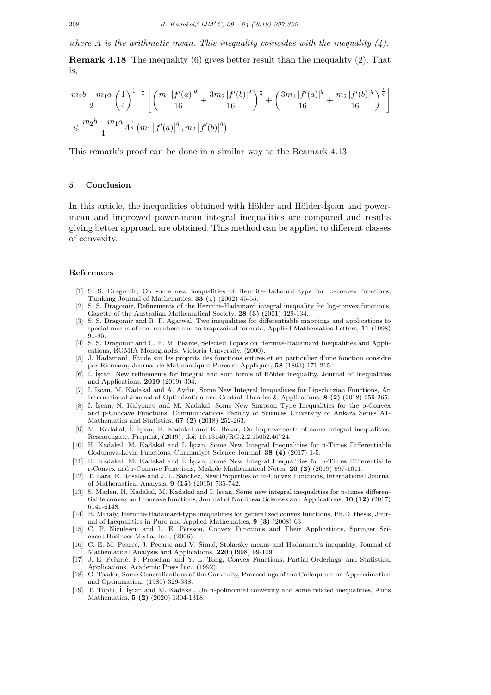where A is the arithmetic mean. This inequality coincides with the inequality  $(4)$ .

**Remark 4.18** The inequality (6) gives better result than the inequality (2). That is,

$$
\frac{m_2b - m_1a}{2} \left(\frac{1}{4}\right)^{1-\frac{1}{q}} \left[ \left(\frac{m_1 |f'(a)|^q}{16} + \frac{3m_2 |f'(b)|^q}{16}\right)^{\frac{1}{q}} + \left(\frac{3m_1 |f'(a)|^q}{16} + \frac{m_2 |f'(b)|^q}{16}\right)^{\frac{1}{q}} \right]
$$
  
\$\leqslant \frac{m\_2b - m\_1a}{4}A^{\frac{1}{q}} (m\_1 |f'(a)|^q, m\_2 |f'(b)|^q).

This remark's proof can be done in a similar way to the Reamark 4.13.

# **5. Conclusion**

In this article, the inequalities obtained with Hölder and Hölder-Iscan and powermean and improwed power-mean integral inequalities are compared and results giving better approach are obtained. This method can be applied to different classes of convexity.

#### **References**

- [1] S. S. Dragomir, On some new inequalities of Hermite-Hadamrd type for *m*-convex functions, Tamkang Journal of Mathematics, **33 (1)** (2002) 45-55.
- [2] S. S. Dragomir, Refinements of the Hermite-Hadamard integral inequality for log-convex functions, Gazette of the Australian Mathematical Society, **28 (3)** (2001) 129-134.
- [3] S. S. Dragomir and R. P. Agarwal, Two inequalities for differentiable mappings and applications to special means of real numbers and to trapezoidal formula, Applied Mathematics Letters, **11** (1998) 91-95.
- [4] S. S. Dragomir and C. E. M. Pearce, Selected Topics on Hermite-Hadamard Inequalities and Applications, RGMIA Monographs, Victoria University, (2000).
- [5] J. Hadamard, Etude sur les proprits des fonctions entires et en particulier d'une fonction considre par Riemann, Journal de Mathmatiques Pures et Appliques, **58** (1893) 171-215.
- [6]  $\dot{I}$ . Iscan, New refinements for integral and sum forms of Hölder inequality, Journal of Inequalities and Applications, **2019** (2019) 304.
- [7] ˙I. ˙I¸scan, M. Kadakal and A. Aydın, Some New Integral Inequalities for Lipschitzian Functions, An International Journal of Optimization and Control Theories & Applications, **8 (2)** (2018) 259-265.
- [8]  $\dot{I}$ . İşcan, N. Kalyoncu and M. Kadakal, Some New Simpson Type Inequalities for the p-Convex and p-Concave Functions, Communications Faculty of Sciences University of Ankara Series A1- Mathematics and Statistics, **67 (2)** (2018) 252-263.
- [9] M. Kadakal, İ. İşcan, H. Kadakal and K. Bekar, On improvements of some integral inequalities, Researchgate, Preprint, (2019), doi: 10.13140/RG.2.2.15052.46724.
- [10] H. Kadakal, M. Kadakal and ˙I. ˙I¸scan, Some New Integral Inequalities for n-Times Differentiable Godunova-Levin Functions, Cumhuriyet Science Journal, **38 (4)** (2017) 1-5.
- [11] H. Kadakal, M. Kadakal and İ. İşcan, Some New Integral Inequalities for n-Times Differentiable r-Convex and r-Concave Functions, Miskolc Mathematical Notes, **20 (2)** (2019) 997-1011.
- [12] T. Lara, E. Rosales and J. L. S´anchez, New Properties of *m*-Convex Functions, International Journal of Mathematical Analysis, **9 (15)** (2015) 735-742.
- [13] S. Maden, H. Kadakal, M. Kadakal and İ. İşcan, Some new integral inequalities for *n*-times differentiable convex and concave functions, Journal of Nonlinear Sciences and Applications, **10 (12)** (2017) 6141-6148.
- [14] B. Mihaly, Hermite-Hadamard-type inequalities for generalized convex functions, Ph.D. thesis, Journal of Inequalities in Pure and Applied Mathematics, **9 (3)** (2008) 63.
- [15] C. P. Niculescu and L. E. Persson, Convex Functions and Their Applications, Springer Science+Business Media, Inc., (2006).
- [16] C. E. M. Pearce, J. Pečaric and V. Šimić, Stolarsky means and Hadamard's inequality, Journal of Mathematical Analysis and Applications, **220** (1998) 99-109.
- [17] J. E. Pečarić, F. Proschan and Y. L. Tong, Convex Functions, Partial Orderings, and Statistical Applications, Academic Press Inc., (1992).
- [18] G. Toader, Some Generalizations of the Convexity, Proceedings of the Colloquium on Approximation and Optimization, (1985) 329-338.
- [19] T. Toplu, ˙I. ˙I¸scan and M. Kadakal, On n-polinomial convexity and some related inequalities, Aims Mathematics, **5 (2)** (2020) 1304-1318.